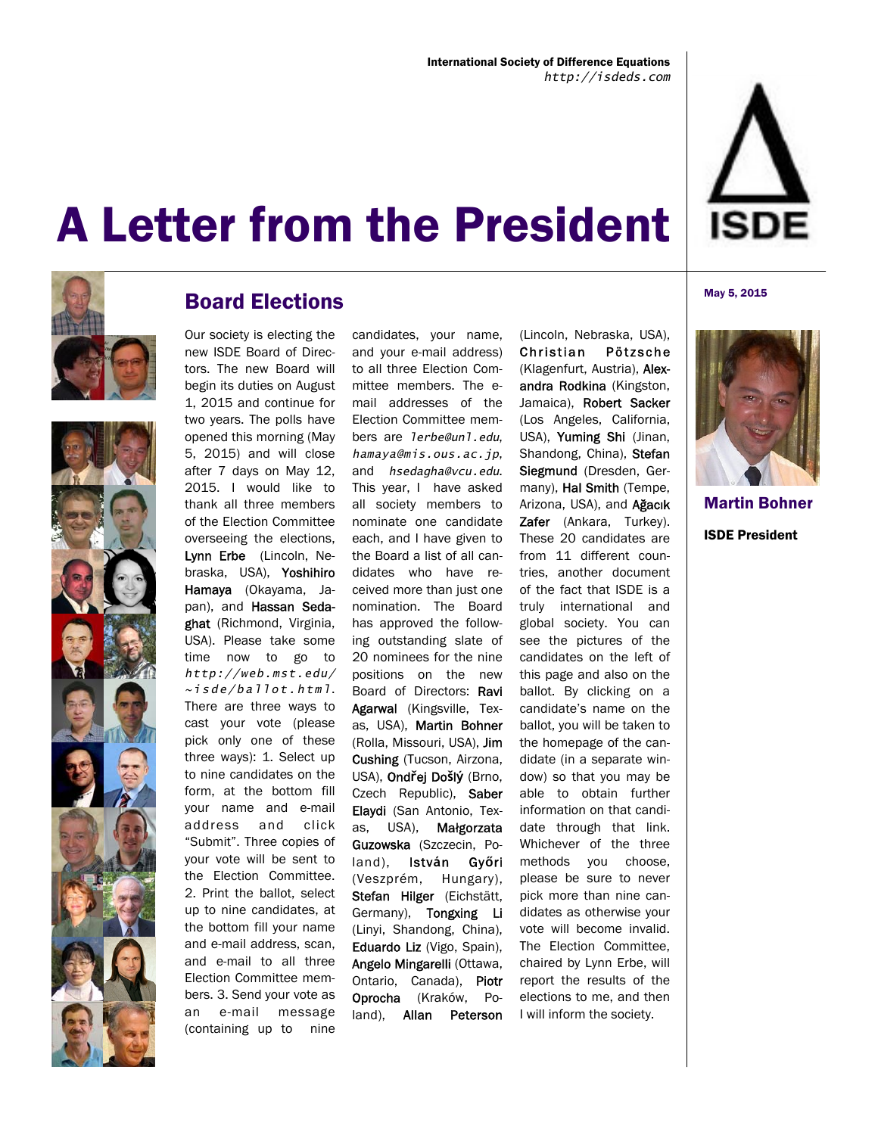





### Board Elections

Our society is electing the new ISDE Board of Directors. The new Board will begin its duties on August 1, 2015 and continue for two years. The polls have opened this morning (May 5, 2015) and will close after 7 days on May 12, 2015. I would like to thank all three members of the Election Committee overseeing the elections, Lynn Erbe (Lincoln, Nebraska, USA), Yoshihiro Hamaya (Okayama, Japan), and Hassan Sedaghat (Richmond, Virginia, USA). Please take some time now to go to *http://web.mst.edu/ ~isde/ballot.html*. There are three ways to cast your vote (please pick only one of these three ways): 1. Select up to nine candidates on the form, at the bottom fill your name and e-mail address and click "Submit". Three copies of your vote will be sent to the Election Committee. 2. Print the ballot, select up to nine candidates, at the bottom fill your name and e-mail address, scan, and e-mail to all three Election Committee members. 3. Send your vote as an e-mail message (containing up to nine

candidates, your name, and your e-mail address) to all three Election Committee members. The email addresses of the Election Committee members are *lerbe@unl.edu*, *hamaya@mis.ous.ac.jp*, and *hsedagha@vcu.edu*. This year, I have asked all society members to nominate one candidate each, and I have given to the Board a list of all candidates who have received more than just one nomination. The Board has approved the following outstanding slate of 20 nominees for the nine positions on the new Board of Directors: Ravi Agarwal (Kingsville, Texas, USA), Martin Bohner (Rolla, Missouri, USA), Jim Cushing (Tucson, Airzona, USA), Ond**ř**ej Do**š**l**ý** (Brno, Czech Republic), Saber Elaydi (San Antonio, Texas, USA), Małgorzata Guzowska (Szczecin, Poland), Istv**á**n Gy**ő**ri (Veszprém, Hungary), Stefan Hilger (Eichstätt, Germany), Tongxing Li (Linyi, Shandong, China), Eduardo Liz (Vigo, Spain), Angelo Mingarelli (Ottawa, Ontario, Canada), Piotr Oprocha (Kraków, Poland), Allan Peterson

(Lincoln, Nebraska, USA), Christian Pötzsche (Klagenfurt, Austria), Alexandra Rodkina (Kingston, Jamaica), Robert Sacker (Los Angeles, California, USA), Yuming Shi (Jinan, Shandong, China), Stefan Siegmund (Dresden, Germany), Hal Smith (Tempe, Arizona, USA), and Ağacık Zafer (Ankara, Turkey). These 20 candidates are from 11 different countries, another document of the fact that ISDE is a truly international and global society. You can see the pictures of the candidates on the left of this page and also on the ballot. By clicking on a candidate's name on the ballot, you will be taken to the homepage of the candidate (in a separate window) so that you may be able to obtain further information on that candidate through that link. Whichever of the three methods you choose, please be sure to never pick more than nine candidates as otherwise your vote will become invalid. The Election Committee, chaired by Lynn Erbe, will report the results of the elections to me, and then I will inform the society.

#### May 5, 2015



Martin Bohner ISDE President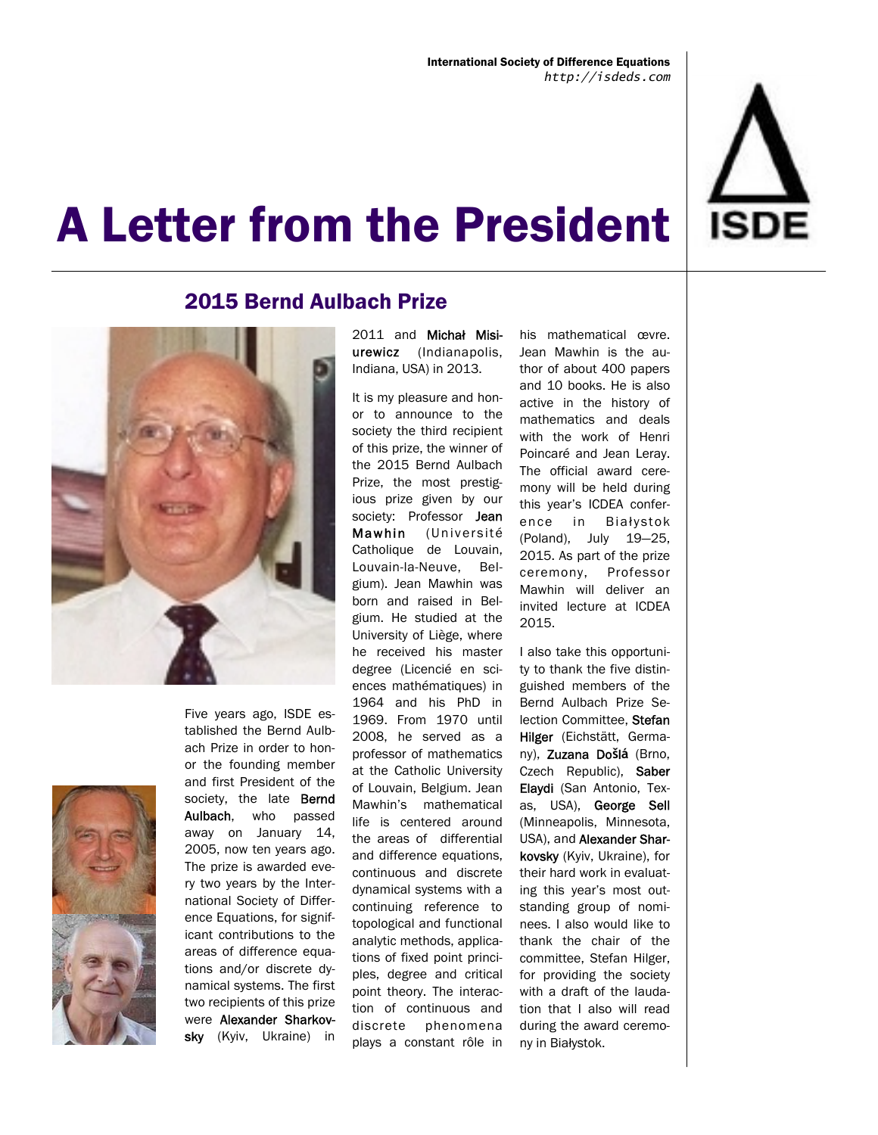

### 2015 Bernd Aulbach Prize





Five years ago, ISDE established the Bernd Aulbach Prize in order to honor the founding member and first President of the society, the late **Bernd** Aulbach, who passed away on January 14, 2005, now ten years ago. The prize is awarded every two years by the International Society of Difference Equations, for significant contributions to the areas of difference equations and/or discrete dynamical systems. The first two recipients of this prize were Alexander Sharkovsky (Kyiv, Ukraine) in

2011 and Michał Misiurewicz (Indianapolis, Indiana, USA) in 2013.

It is my pleasure and honor to announce to the society the third recipient of this prize, the winner of the 2015 Bernd Aulbach Prize, the most prestigious prize given by our society: Professor Jean Mawhin (Université Catholique de Louvain, Louvain-la-Neuve, Belgium). Jean Mawhin was born and raised in Belgium. He studied at the University of Liège, where he received his master degree (Licencié en sciences mathématiques) in 1964 and his PhD in 1969. From 1970 until 2008, he served as a professor of mathematics at the Catholic University of Louvain, Belgium. Jean Mawhin's mathematical life is centered around the areas of differential and difference equations, continuous and discrete dynamical systems with a continuing reference to topological and functional analytic methods, applications of fixed point principles, degree and critical point theory. The interaction of continuous and discrete phenomena plays a constant rôle in

his mathematical œvre. Jean Mawhin is the author of about 400 papers and 10 books. He is also active in the history of mathematics and deals with the work of Henri Poincaré and Jean Leray. The official award ceremony will be held during this year's ICDEA conference in Biał ystok (Poland), July 19—25, 2015. As part of the prize ceremony, Professor Mawhin will deliver an invited lecture at ICDEA 2015.

I also take this opportunity to thank the five distinguished members of the Bernd Aulbach Prize Selection Committee. Stefan Hilger (Eichstätt, Germany), Zuzana Do**š**l**á** (Brno, Czech Republic), Saber Elaydi (San Antonio, Texas, USA), George Sell (Minneapolis, Minnesota, USA), and Alexander Sharkovsky (Kyiv, Ukraine), for their hard work in evaluating this year's most outstanding group of nominees. I also would like to thank the chair of the committee, Stefan Hilger, for providing the society with a draft of the laudation that I also will read during the award ceremony in Białystok.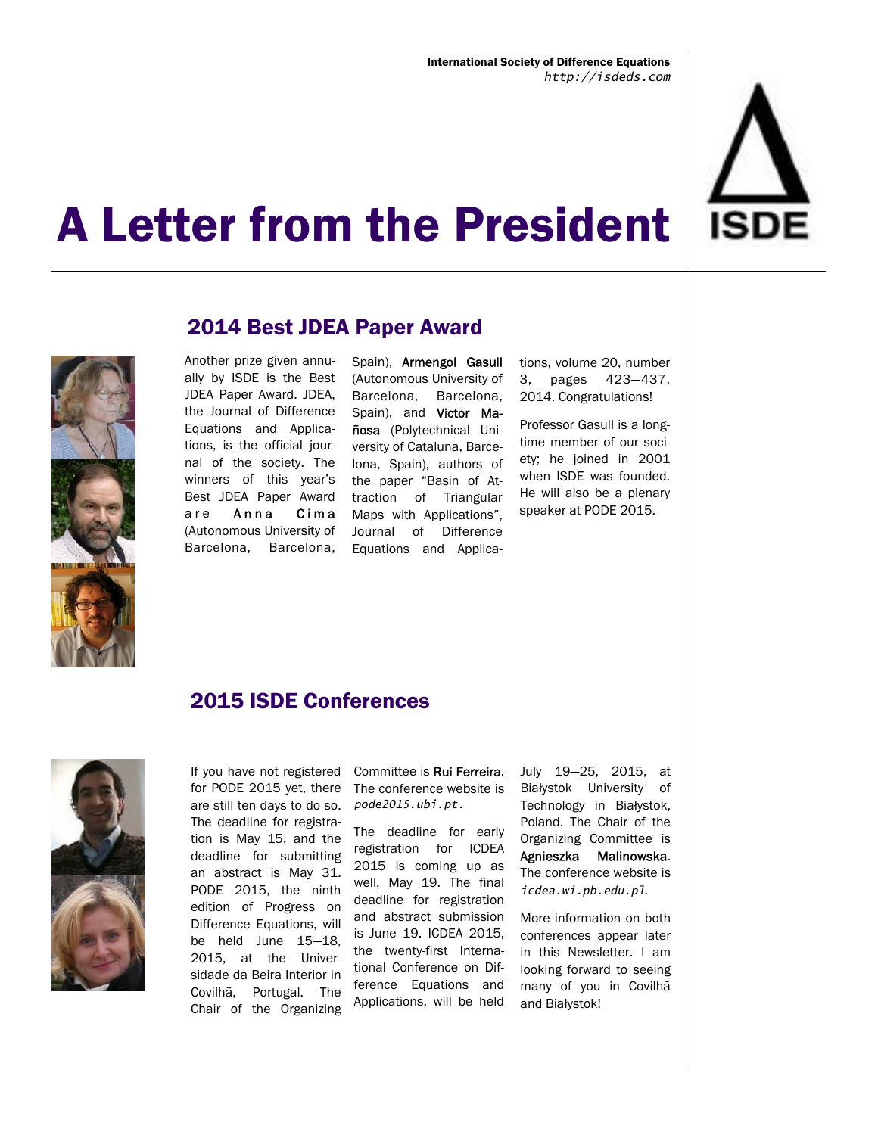



### 2014 Best JDEA Paper Award

Another prize given annually by ISDE is the Best JDEA Paper Award. JDEA, the Journal of Difference Equations and Applications, is the official journal of the society. The winners of this year's Best JDEA Paper Award are Anna Cima (Autonomous University of Barcelona, Barcelona,

Spain), Armengol Gasull (Autonomous University of Barcelona, Barcelona, Spain), and Victor Mañosa (Polytechnical University of Cataluna, Barcelona, Spain), authors of the paper "Basin of Attraction of Triangular Maps with Applications", Journal of Difference Equations and Applications, volume 20, number 3, pages 423—437, 2014. Congratulations!

Professor Gasull is a longtime member of our society; he joined in 2001 when ISDE was founded. He will also be a plenary speaker at PODE 2015.

### 2015 ISDE Conferences



If you have not registered for PODE 2015 yet, there are still ten days to do so. The deadline for registration is May 15, and the deadline for submitting an abstract is May 31. PODE 2015, the ninth edition of Progress on Difference Equations, will be held June 15—18, 2015, at the Universidade da Beira Interior in Covilhã, Portugal. The Chair of the Organizing

Committee is Rui Ferreira. The conference website is *pode2015.ubi.pt.* 

The deadline for early registration for ICDEA 2015 is coming up as well, May 19. The final deadline for registration and abstract submission is June 19. ICDEA 2015, the twenty-first International Conference on Difference Equations and Applications, will be held

July 19—25, 2015, at Białystok University of Technology in Białystok, Poland. The Chair of the Organizing Committee is Agnieszka Malinowska. The conference website is *icdea.wi.pb.edu.pl*.

More information on both conferences appear later in this Newsletter. I am looking forward to seeing many of you in Covilhã and Białystok!